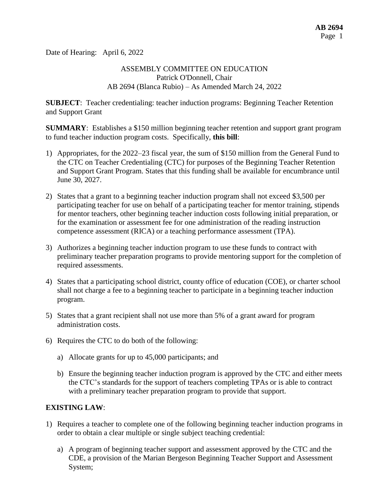Date of Hearing: April 6, 2022

## ASSEMBLY COMMITTEE ON EDUCATION Patrick O'Donnell, Chair AB 2694 (Blanca Rubio) – As Amended March 24, 2022

**SUBJECT**: Teacher credentialing: teacher induction programs: Beginning Teacher Retention and Support Grant

**SUMMARY**: Establishes a \$150 million beginning teacher retention and support grant program to fund teacher induction program costs. Specifically, **this bill**:

- 1) Appropriates, for the 2022–23 fiscal year, the sum of \$150 million from the General Fund to the CTC on Teacher Credentialing (CTC) for purposes of the Beginning Teacher Retention and Support Grant Program. States that this funding shall be available for encumbrance until June 30, 2027.
- 2) States that a grant to a beginning teacher induction program shall not exceed \$3,500 per participating teacher for use on behalf of a participating teacher for mentor training, stipends for mentor teachers, other beginning teacher induction costs following initial preparation, or for the examination or assessment fee for one administration of the reading instruction competence assessment (RICA) or a teaching performance assessment (TPA).
- 3) Authorizes a beginning teacher induction program to use these funds to contract with preliminary teacher preparation programs to provide mentoring support for the completion of required assessments.
- 4) States that a participating school district, county office of education (COE), or charter school shall not charge a fee to a beginning teacher to participate in a beginning teacher induction program.
- 5) States that a grant recipient shall not use more than 5% of a grant award for program administration costs.
- 6) Requires the CTC to do both of the following:
	- a) Allocate grants for up to 45,000 participants; and
	- b) Ensure the beginning teacher induction program is approved by the CTC and either meets the CTC's standards for the support of teachers completing TPAs or is able to contract with a preliminary teacher preparation program to provide that support.

# **EXISTING LAW**:

- 1) Requires a teacher to complete one of the following beginning teacher induction programs in order to obtain a clear multiple or single subject teaching credential:
	- a) A program of beginning teacher support and assessment approved by the CTC and the CDE, a provision of the Marian Bergeson Beginning Teacher Support and Assessment System;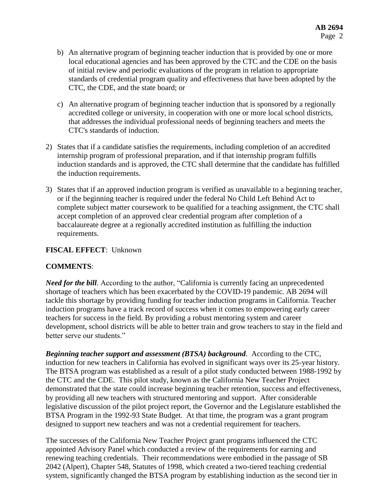- b) An alternative program of beginning teacher induction that is provided by one or more local educational agencies and has been approved by the CTC and the CDE on the basis of initial review and periodic evaluations of the program in relation to appropriate standards of credential program quality and effectiveness that have been adopted by the CTC, the CDE, and the state board; or
- c) An alternative program of beginning teacher induction that is sponsored by a regionally accredited college or university, in cooperation with one or more local school districts, that addresses the individual professional needs of beginning teachers and meets the CTC's standards of induction.
- 2) States that if a candidate satisfies the requirements, including completion of an accredited internship program of professional preparation, and if that internship program fulfills induction standards and is approved, the CTC shall determine that the candidate has fulfilled the induction requirements.
- 3) States that if an approved induction program is verified as unavailable to a beginning teacher, or if the beginning teacher is required under the federal No Child Left Behind Act to complete subject matter coursework to be qualified for a teaching assignment, the CTC shall accept completion of an approved clear credential program after completion of a baccalaureate degree at a regionally accredited institution as fulfilling the induction requirements.

#### **FISCAL EFFECT**: Unknown

# **COMMENTS**:

*Need for the bill.* According to the author, "California is currently facing an unprecedented shortage of teachers which has been exacerbated by the COVID-19 pandemic. AB 2694 will tackle this shortage by providing funding for teacher induction programs in California. Teacher induction programs have a track record of success when it comes to empowering early career teachers for success in the field. By providing a robust mentoring system and career development, school districts will be able to better train and grow teachers to stay in the field and better serve our students."

*Beginning teacher support and assessment (BTSA) background*. According to the CTC, induction for new teachers in California has evolved in significant ways over its 25-year history. The BTSA program was established as a result of a pilot study conducted between 1988-1992 by the CTC and the CDE. This pilot study, known as the California New Teacher Project demonstrated that the state could increase beginning teacher retention, success and effectiveness, by providing all new teachers with structured mentoring and support. After considerable legislative discussion of the pilot project report, the Governor and the Legislature established the BTSA Program in the 1992-93 State Budget. At that time, the program was a grant program designed to support new teachers and was not a credential requirement for teachers.

The successes of the California New Teacher Project grant programs influenced the CTC appointed Advisory Panel which conducted a review of the requirements for earning and renewing teaching credentials. Their recommendations were embodied in the passage of SB 2042 (Alpert), Chapter 548, Statutes of 1998, which created a two-tiered teaching credential system, significantly changed the BTSA program by establishing induction as the second tier in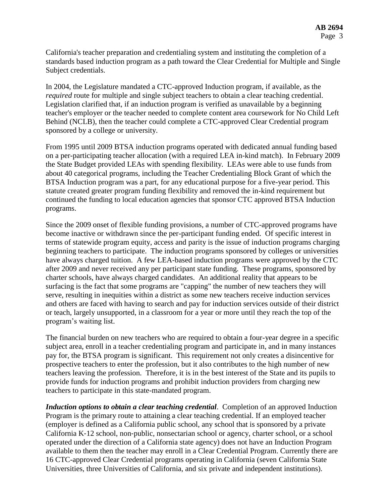California's teacher preparation and credentialing system and instituting the completion of a standards based induction program as a path toward the Clear Credential for Multiple and Single Subject credentials.

In 2004, the Legislature mandated a CTC-approved Induction program, if available, as the *required* route for multiple and single subject teachers to obtain a clear teaching credential. Legislation clarified that, if an induction program is verified as unavailable by a beginning teacher's employer or the teacher needed to complete content area coursework for No Child Left Behind (NCLB), then the teacher could complete a CTC-approved Clear Credential program sponsored by a college or university.

From 1995 until 2009 BTSA induction programs operated with dedicated annual funding based on a per-participating teacher allocation (with a required LEA in-kind match). In February 2009 the State Budget provided LEAs with spending flexibility. LEAs were able to use funds from about 40 categorical programs, including the Teacher Credentialing Block Grant of which the BTSA Induction program was a part, for any educational purpose for a five-year period. This statute created greater program funding flexibility and removed the in-kind requirement but continued the funding to local education agencies that sponsor CTC approved BTSA Induction programs.

Since the 2009 onset of flexible funding provisions, a number of CTC-approved programs have become inactive or withdrawn since the per-participant funding ended. Of specific interest in terms of statewide program equity, access and parity is the issue of induction programs charging beginning teachers to participate. The induction programs sponsored by colleges or universities have always charged tuition. A few LEA-based induction programs were approved by the CTC after 2009 and never received any per participant state funding. These programs, sponsored by charter schools, have always charged candidates. An additional reality that appears to be surfacing is the fact that some programs are "capping" the number of new teachers they will serve, resulting in inequities within a district as some new teachers receive induction services and others are faced with having to search and pay for induction services outside of their district or teach, largely unsupported, in a classroom for a year or more until they reach the top of the program's waiting list.

The financial burden on new teachers who are required to obtain a four-year degree in a specific subject area, enroll in a teacher credentialing program and participate in, and in many instances pay for, the BTSA program is significant. This requirement not only creates a disincentive for prospective teachers to enter the profession, but it also contributes to the high number of new teachers leaving the profession. Therefore, it is in the best interest of the State and its pupils to provide funds for induction programs and prohibit induction providers from charging new teachers to participate in this state-mandated program.

*Induction options to obtain a clear teaching credential*. Completion of an approved Induction Program is the primary route to attaining a clear teaching credential. If an employed teacher (employer is defined as a California public school, any school that is sponsored by a private California K‐12 school, non‐public, nonsectarian school or agency, charter school, or a school operated under the direction of a California state agency) does not have an Induction Program available to them then the teacher may enroll in a Clear Credential Program. Currently there are 16 CTC-approved Clear Credential programs operating in California (seven California State Universities, three Universities of California, and six private and independent institutions).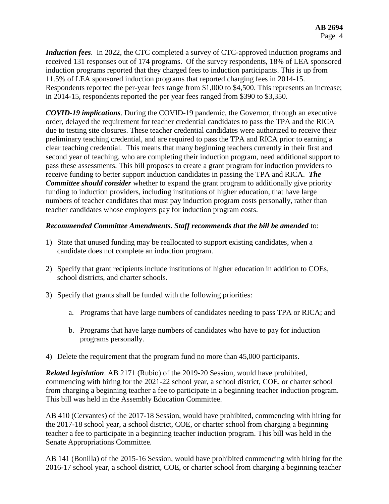*Induction fees*. In 2022, the CTC completed a survey of CTC-approved induction programs and received 131 responses out of 174 programs. Of the survey respondents, 18% of LEA sponsored induction programs reported that they charged fees to induction participants. This is up from 11.5% of LEA sponsored induction programs that reported charging fees in 2014-15. Respondents reported the per-year fees range from \$1,000 to \$4,500. This represents an increase; in 2014-15, respondents reported the per year fees ranged from \$390 to \$3,350.

*COVID-19 implications*. During the COVID-19 pandemic, the Governor, through an executive order, delayed the requirement for teacher credential candidates to pass the TPA and the RICA due to testing site closures. These teacher credential candidates were authorized to receive their preliminary teaching credential, and are required to pass the TPA and RICA prior to earning a clear teaching credential. This means that many beginning teachers currently in their first and second year of teaching, who are completing their induction program, need additional support to pass these assessments. This bill proposes to create a grant program for induction providers to receive funding to better support induction candidates in passing the TPA and RICA. *The Committee should consider* whether to expand the grant program to additionally give priority funding to induction providers, including institutions of higher education, that have large numbers of teacher candidates that must pay induction program costs personally, rather than teacher candidates whose employers pay for induction program costs.

## *Recommended Committee Amendments. Staff recommends that the bill be amended* to:

- 1) State that unused funding may be reallocated to support existing candidates, when a candidate does not complete an induction program.
- 2) Specify that grant recipients include institutions of higher education in addition to COEs, school districts, and charter schools.
- 3) Specify that grants shall be funded with the following priorities:
	- a. Programs that have large numbers of candidates needing to pass TPA or RICA; and
	- b. Programs that have large numbers of candidates who have to pay for induction programs personally.
- 4) Delete the requirement that the program fund no more than 45,000 participants.

*Related legislation*. AB 2171 (Rubio) of the 2019-20 Session, would have prohibited, commencing with hiring for the 2021-22 school year, a school district, COE, or charter school from charging a beginning teacher a fee to participate in a beginning teacher induction program. This bill was held in the Assembly Education Committee.

AB 410 (Cervantes) of the 2017-18 Session, would have prohibited, commencing with hiring for the 2017-18 school year, a school district, COE, or charter school from charging a beginning teacher a fee to participate in a beginning teacher induction program. This bill was held in the Senate Appropriations Committee.

AB 141 (Bonilla) of the 2015-16 Session, would have prohibited commencing with hiring for the 2016-17 school year, a school district, COE, or charter school from charging a beginning teacher